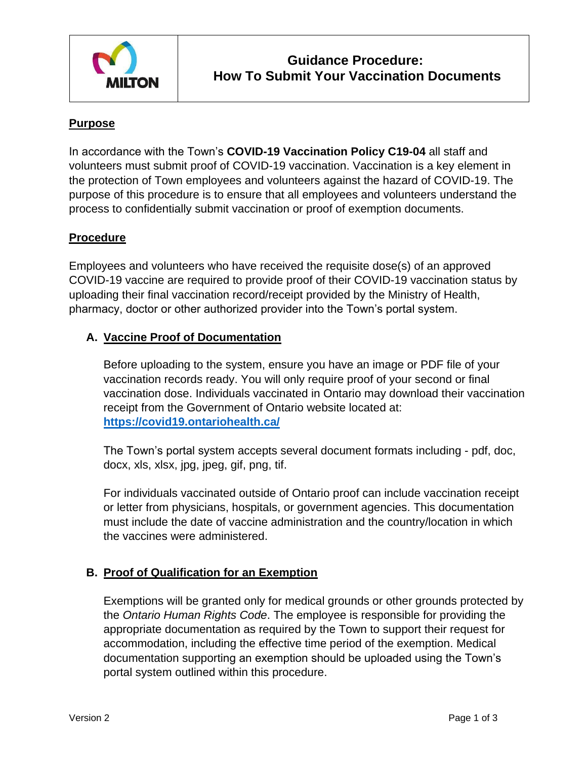

# **Purpose**

In accordance with the Town's **COVID-19 Vaccination Policy C19-04** all staff and volunteers must submit proof of COVID-19 vaccination. Vaccination is a key element in the protection of Town employees and volunteers against the hazard of COVID-19. The purpose of this procedure is to ensure that all employees and volunteers understand the process to confidentially submit vaccination or proof of exemption documents.

#### **Procedure**

Employees and volunteers who have received the requisite dose(s) of an approved COVID-19 vaccine are required to provide proof of their COVID-19 vaccination status by uploading their final vaccination record/receipt provided by the Ministry of Health, pharmacy, doctor or other authorized provider into the Town's portal system.

#### **A. Vaccine Proof of Documentation**

Before uploading to the system, ensure you have an image or PDF file of your vaccination records ready. You will only require proof of your second or final vaccination dose. Individuals vaccinated in Ontario may download their vaccination receipt from the Government of Ontario website located at: **<https://covid19.ontariohealth.ca/>**

The Town's portal system accepts several document formats including - pdf, doc, docx, xls, xlsx, jpg, jpeg, gif, png, tif.

For individuals vaccinated outside of Ontario proof can include vaccination receipt or letter from physicians, hospitals, or government agencies. This documentation must include the date of vaccine administration and the country/location in which the vaccines were administered.

# **B. Proof of Qualification for an Exemption**

Exemptions will be granted only for medical grounds or other grounds protected by the *Ontario Human Rights Code*. The employee is responsible for providing the appropriate documentation as required by the Town to support their request for accommodation, including the effective time period of the exemption. Medical documentation supporting an exemption should be uploaded using the Town's portal system outlined within this procedure.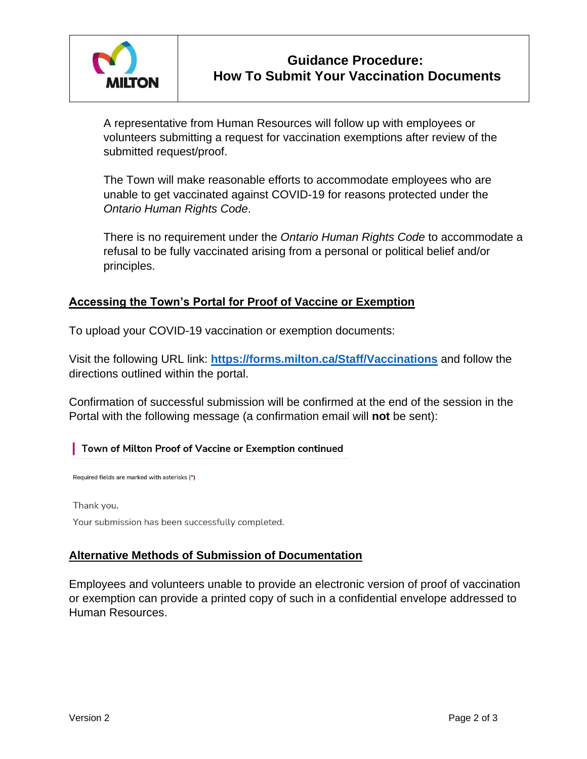

A representative from Human Resources will follow up with employees or volunteers submitting a request for vaccination exemptions after review of the submitted request/proof.

The Town will make reasonable efforts to accommodate employees who are unable to get vaccinated against COVID-19 for reasons protected under the *Ontario Human Rights Code*.

There is no requirement under the *Ontario Human Rights Code* to accommodate a refusal to be fully vaccinated arising from a personal or political belief and/or principles.

# **Accessing the Town's Portal for Proof of Vaccine or Exemption**

To upload your COVID-19 vaccination or exemption documents:

Visit the following URL link: **<https://forms.milton.ca/Staff/Vaccinations>** and follow the directions outlined within the portal.

Confirmation of successful submission will be confirmed at the end of the session in the Portal with the following message (a confirmation email will **not** be sent):

#### | Town of Milton Proof of Vaccine or Exemption continued

Required fields are marked with asterisks (\*)

Thank you.

Your submission has been successfully completed.

# **Alternative Methods of Submission of Documentation**

Employees and volunteers unable to provide an electronic version of proof of vaccination or exemption can provide a printed copy of such in a confidential envelope addressed to Human Resources.